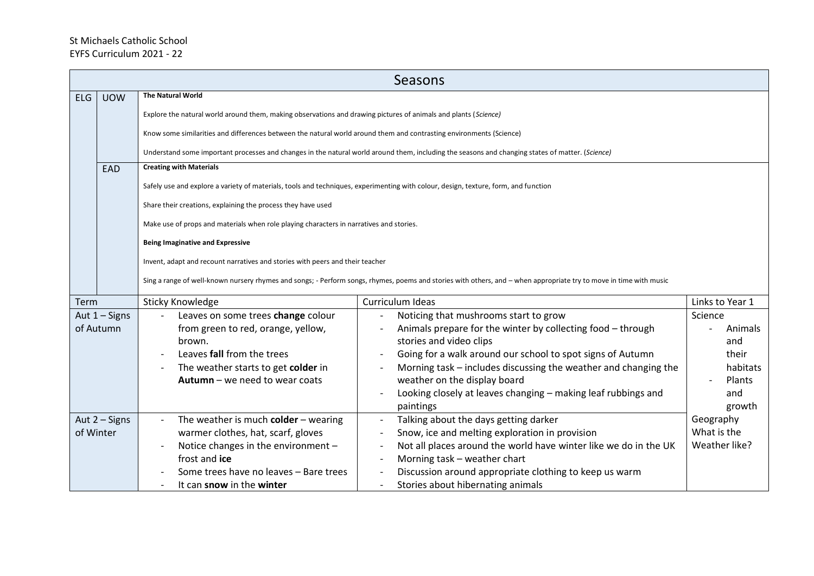## St Michaels Catholic School EYFS Curriculum 2021 - 22

|           | Seasons         |                                                                                                                                     |                                                                                                                                                                    |                 |  |
|-----------|-----------------|-------------------------------------------------------------------------------------------------------------------------------------|--------------------------------------------------------------------------------------------------------------------------------------------------------------------|-----------------|--|
| ELG       | <b>UOW</b>      | <b>The Natural World</b>                                                                                                            |                                                                                                                                                                    |                 |  |
|           |                 | Explore the natural world around them, making observations and drawing pictures of animals and plants (Science)                     |                                                                                                                                                                    |                 |  |
|           |                 | Know some similarities and differences between the natural world around them and contrasting environments (Science)                 |                                                                                                                                                                    |                 |  |
|           |                 |                                                                                                                                     |                                                                                                                                                                    |                 |  |
|           |                 |                                                                                                                                     | Understand some important processes and changes in the natural world around them, including the seasons and changing states of matter. (Science)                   |                 |  |
|           | <b>EAD</b>      | <b>Creating with Materials</b>                                                                                                      |                                                                                                                                                                    |                 |  |
|           |                 | Safely use and explore a variety of materials, tools and techniques, experimenting with colour, design, texture, form, and function |                                                                                                                                                                    |                 |  |
|           |                 | Share their creations, explaining the process they have used                                                                        |                                                                                                                                                                    |                 |  |
|           |                 | Make use of props and materials when role playing characters in narratives and stories.                                             |                                                                                                                                                                    |                 |  |
|           |                 |                                                                                                                                     |                                                                                                                                                                    |                 |  |
|           |                 | <b>Being Imaginative and Expressive</b>                                                                                             |                                                                                                                                                                    |                 |  |
|           |                 | Invent, adapt and recount narratives and stories with peers and their teacher                                                       |                                                                                                                                                                    |                 |  |
|           |                 |                                                                                                                                     | Sing a range of well-known nursery rhymes and songs; - Perform songs, rhymes, poems and stories with others, and - when appropriate try to move in time with music |                 |  |
|           |                 |                                                                                                                                     |                                                                                                                                                                    |                 |  |
| Term      |                 | <b>Sticky Knowledge</b>                                                                                                             | Curriculum Ideas                                                                                                                                                   | Links to Year 1 |  |
|           | Aut $1 -$ Signs | Leaves on some trees change colour                                                                                                  | Noticing that mushrooms start to grow                                                                                                                              | Science         |  |
|           | of Autumn       | from green to red, orange, yellow,                                                                                                  | Animals prepare for the winter by collecting food - through                                                                                                        | Animals         |  |
|           |                 | brown.                                                                                                                              | stories and video clips                                                                                                                                            | and             |  |
|           |                 | Leaves fall from the trees                                                                                                          | Going for a walk around our school to spot signs of Autumn                                                                                                         | their           |  |
|           |                 | The weather starts to get colder in                                                                                                 | Morning task – includes discussing the weather and changing the                                                                                                    | habitats        |  |
|           |                 | Autumn - we need to wear coats                                                                                                      | weather on the display board                                                                                                                                       | Plants          |  |
|           |                 |                                                                                                                                     | Looking closely at leaves changing - making leaf rubbings and                                                                                                      | and             |  |
|           |                 |                                                                                                                                     | paintings                                                                                                                                                          | growth          |  |
|           | Aut $2 -$ Signs | The weather is much colder $-$ wearing                                                                                              | Talking about the days getting darker                                                                                                                              | Geography       |  |
| of Winter |                 | warmer clothes, hat, scarf, gloves                                                                                                  | Snow, ice and melting exploration in provision                                                                                                                     | What is the     |  |
|           |                 | Notice changes in the environment -                                                                                                 | Not all places around the world have winter like we do in the UK                                                                                                   | Weather like?   |  |
|           |                 | frost and ice                                                                                                                       | Morning task - weather chart                                                                                                                                       |                 |  |
|           |                 | Some trees have no leaves - Bare trees                                                                                              | Discussion around appropriate clothing to keep us warm                                                                                                             |                 |  |
|           |                 | It can snow in the winter                                                                                                           | Stories about hibernating animals                                                                                                                                  |                 |  |